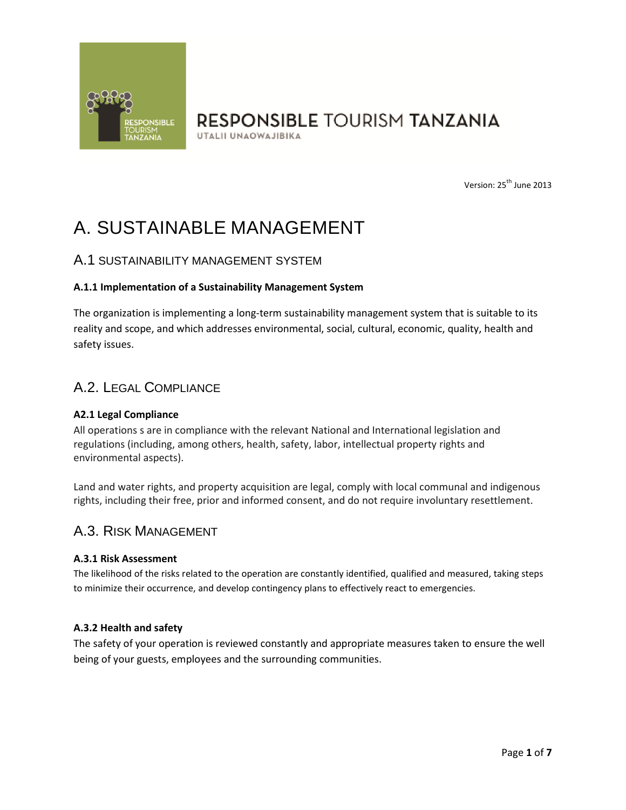

UTALII UNAOWAJIBIKA

Version: 25<sup>th</sup> June 2013

# A. SUSTAINABLE MANAGEMENT

# A.1 SUSTAINABILITY MANAGEMENT SYSTEM

## **A.1.1 Implementation of a Sustainability Management System**

The organization is implementing a long-term sustainability management system that is suitable to its reality and scope, and which addresses environmental, social, cultural, economic, quality, health and safety issues.

# A.2. LEGAL COMPLIANCE

## **A2.1 Legal Compliance**

All operations s are in compliance with the relevant National and International legislation and regulations (including, among others, health, safety, labor, intellectual property rights and environmental aspects).

Land and water rights, and property acquisition are legal, comply with local communal and indigenous rights, including their free, prior and informed consent, and do not require involuntary resettlement.

# A.3. RISK MANAGEMENT

#### **A.3.1 Risk Assessment**

The likelihood of the risks related to the operation are constantly identified, qualified and measured, taking steps to minimize their occurrence, and develop contingency plans to effectively react to emergencies.

## **A.3.2 Health and safety**

The safety of your operation is reviewed constantly and appropriate measures taken to ensure the well being of your guests, employees and the surrounding communities.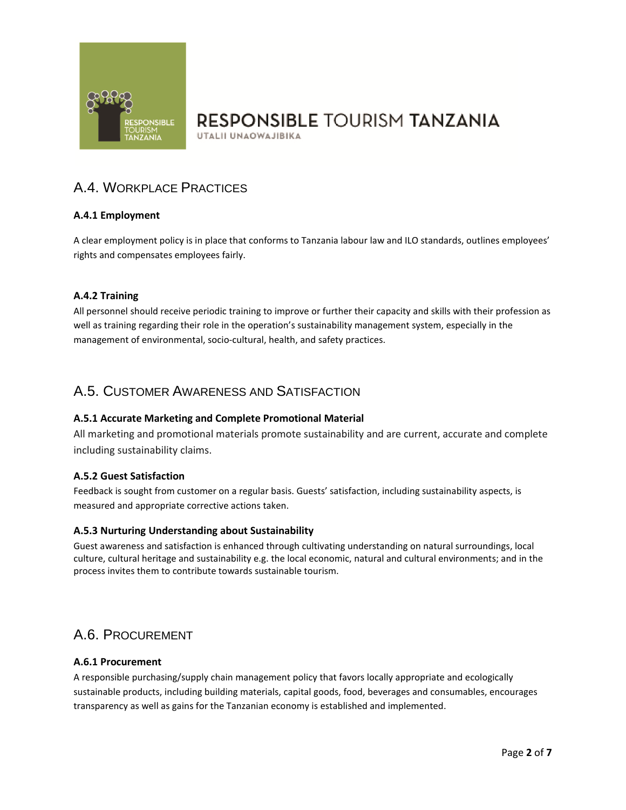

UTALII UNAOWAJIBIKA

# A.4. WORKPLACE PRACTICES

# **A.4.1 Employment**

A clear employment policy is in place that conforms to Tanzania labour law and ILO standards, outlines employees' rights and compensates employees fairly.

## **A.4.2 Training**

All personnel should receive periodic training to improve or further their capacity and skills with their profession as well as training regarding their role in the operation's sustainability management system, especially in the management of environmental, socio-cultural, health, and safety practices.

# A.5. CUSTOMER AWARENESS AND SATISFACTION

## **A.5.1 Accurate Marketing and Complete Promotional Material**

All marketing and promotional materials promote sustainability and are current, accurate and complete including sustainability claims.

## **A.5.2 Guest Satisfaction**

Feedback is sought from customer on a regular basis. Guests' satisfaction, including sustainability aspects, is measured and appropriate corrective actions taken.

## **A.5.3 Nurturing Understanding about Sustainability**

Guest awareness and satisfaction is enhanced through cultivating understanding on natural surroundings, local culture, cultural heritage and sustainability e.g. the local economic, natural and cultural environments; and in the process invites them to contribute towards sustainable tourism.

# A.6. PROCUREMENT

#### **A.6.1 Procurement**

A responsible purchasing/supply chain management policy that favors locally appropriate and ecologically sustainable products, including building materials, capital goods, food, beverages and consumables, encourages transparency as well as gains for the Tanzanian economy is established and implemented.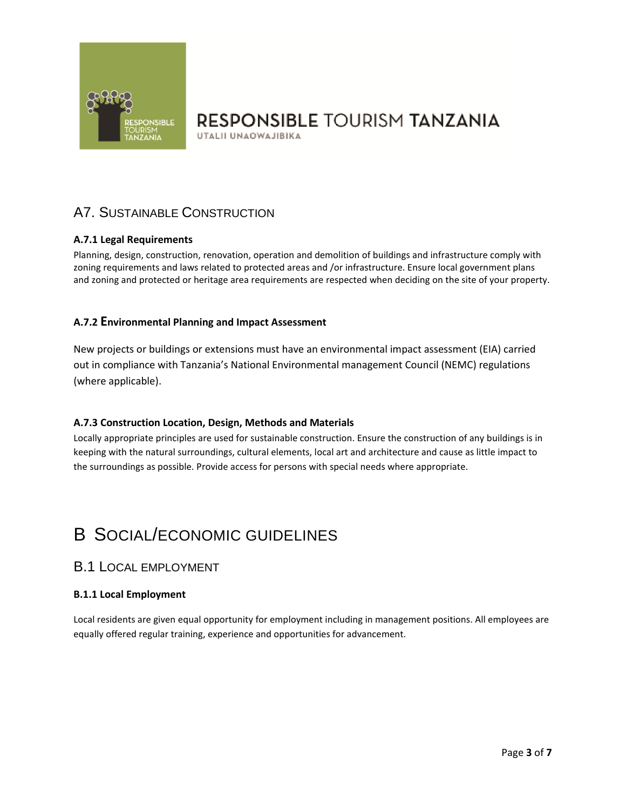

UTALII UNAOWAJIBIKA

# A7. SUSTAINABLE CONSTRUCTION

# **A.7.1 Legal Requirements**

Planning, design, construction, renovation, operation and demolition of buildings and infrastructure comply with zoning requirements and laws related to protected areas and /or infrastructure. Ensure local government plans and zoning and protected or heritage area requirements are respected when deciding on the site of your property.

# **A.7.2 Environmental Planning and Impact Assessment**

New projects or buildings or extensions must have an environmental impact assessment (EIA) carried out in compliance with Tanzania's National Environmental management Council (NEMC) regulations (where applicable).

## **A.7.3 Construction Location, Design, Methods and Materials**

Locally appropriate principles are used for sustainable construction. Ensure the construction of any buildings is in keeping with the natural surroundings, cultural elements, local art and architecture and cause as little impact to the surroundings as possible. Provide access for persons with special needs where appropriate.

# B SOCIAL/ECONOMIC GUIDELINES

# B.1 LOCAL EMPLOYMENT

## **B.1.1 Local Employment**

Local residents are given equal opportunity for employment including in management positions. All employees are equally offered regular training, experience and opportunities for advancement.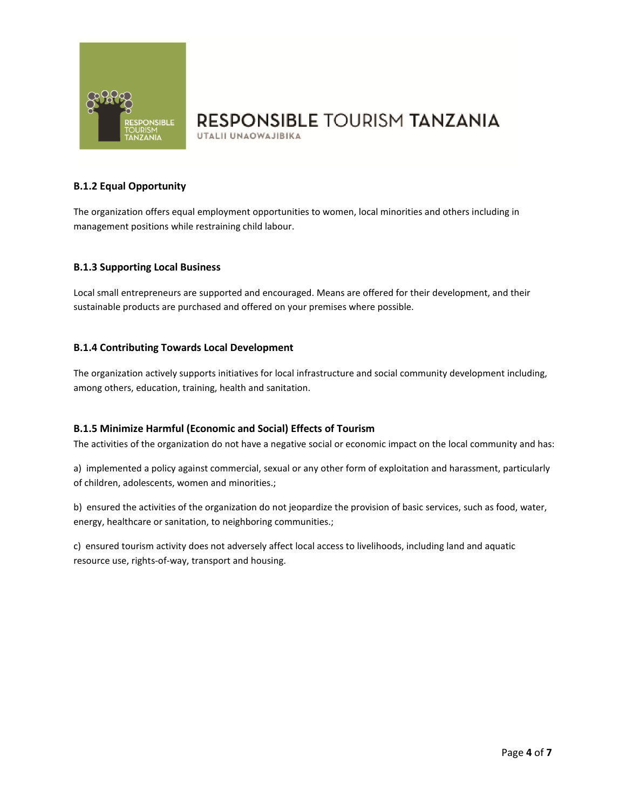

UTALII UNAOWAJIBIKA

## **B.1.2 Equal Opportunity**

The organization offers equal employment opportunities to women, local minorities and others including in management positions while restraining child labour.

#### **B.1.3 Supporting Local Business**

Local small entrepreneurs are supported and encouraged. Means are offered for their development, and their sustainable products are purchased and offered on your premises where possible.

#### **B.1.4 Contributing Towards Local Development**

The organization actively supports initiatives for local infrastructure and social community development including, among others, education, training, health and sanitation.

#### **B.1.5 Minimize Harmful (Economic and Social) Effects of Tourism**

The activities of the organization do not have a negative social or economic impact on the local community and has:

a) implemented a policy against commercial, sexual or any other form of exploitation and harassment, particularly of children, adolescents, women and minorities.;

b) ensured the activities of the organization do not jeopardize the provision of basic services, such as food, water, energy, healthcare or sanitation, to neighboring communities.;

c) ensured tourism activity does not adversely affect local access to livelihoods, including land and aquatic resource use, rights-of-way, transport and housing.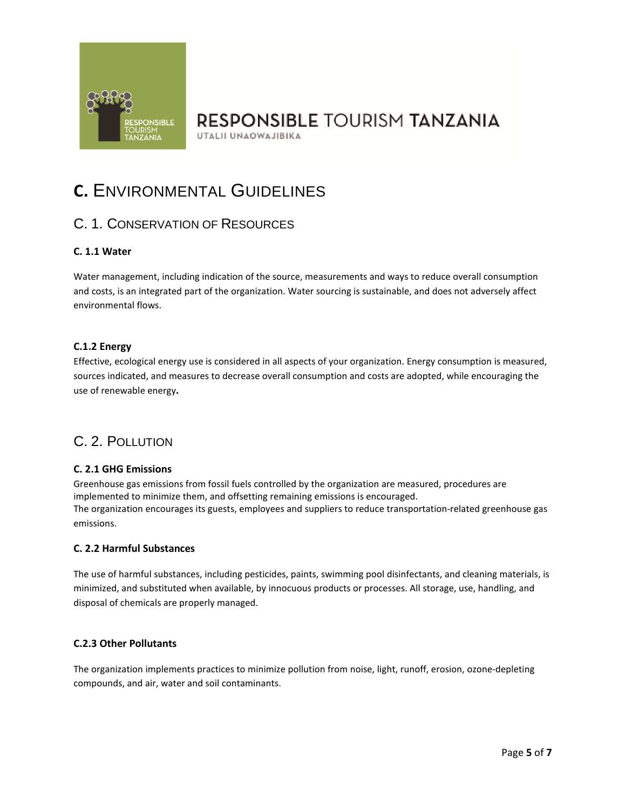

# **RESPONSIBLE TOURISM TANZANIA** UTALII UNAOWAJIBIKA

# **C.** ENVIRONMENTAL GUIDELINES

# C. 1. CONSERVATION OF RESOURCES

# **C. 1.1 Water**

Water management, including indication of the source, measurements and ways to reduce overall consumption and costs, is an integrated part of the organization. Water sourcing is sustainable, and does not adversely affect environmental flows.

## **C.1.2 Energy**

Effective, ecological energy use is considered in all aspects of your organization. Energy consumption is measured, sources indicated, and measures to decrease overall consumption and costs are adopted, while encouraging the use of renewable energy**.** 

# C. 2. POLLUTION

## **C. 2.1 GHG Emissions**

Greenhouse gas emissions from fossil fuels controlled by the organization are measured, procedures are implemented to minimize them, and offsetting remaining emissions is encouraged. The organization encourages its guests, employees and suppliers to reduce transportation-related greenhouse gas emissions.

## **C. 2.2 Harmful Substances**

The use of harmful substances, including pesticides, paints, swimming pool disinfectants, and cleaning materials, is minimized, and substituted when available, by innocuous products or processes. All storage, use, handling, and disposal of chemicals are properly managed.

## **C.2.3 Other Pollutants**

The organization implements practices to minimize pollution from noise, light, runoff, erosion, ozone-depleting compounds, and air, water and soil contaminants.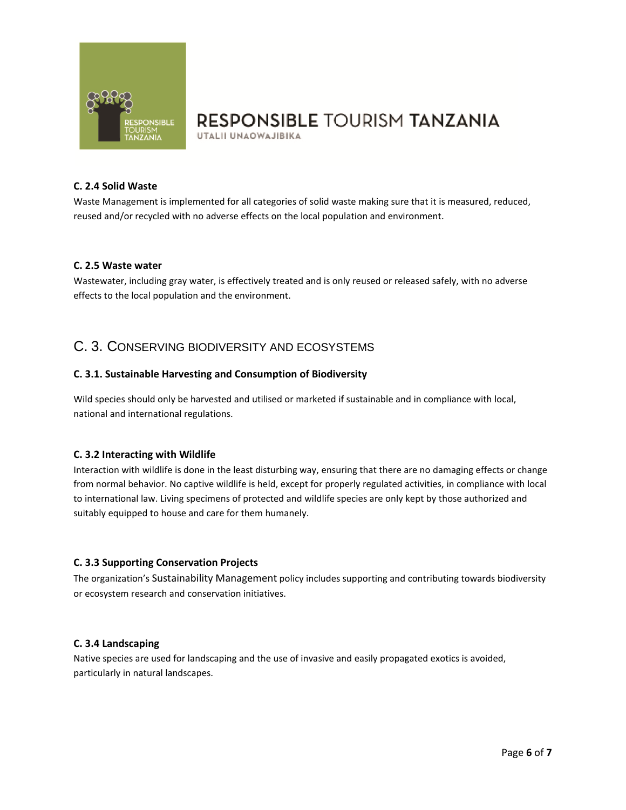

UTALII UNAOWAJIBIKA

#### **C. 2.4 Solid Waste**

Waste Management is implemented for all categories of solid waste making sure that it is measured, reduced, reused and/or recycled with no adverse effects on the local population and environment.

#### **C. 2.5 Waste water**

Wastewater, including gray water, is effectively treated and is only reused or released safely, with no adverse effects to the local population and the environment.

# C. 3. CONSERVING BIODIVERSITY AND ECOSYSTEMS

## **C. 3.1. Sustainable Harvesting and Consumption of Biodiversity**

Wild species should only be harvested and utilised or marketed if sustainable and in compliance with local, national and international regulations.

## **C. 3.2 Interacting with Wildlife**

Interaction with wildlife is done in the least disturbing way, ensuring that there are no damaging effects or change from normal behavior. No captive wildlife is held, except for properly regulated activities, in compliance with local to international law. Living specimens of protected and wildlife species are only kept by those authorized and suitably equipped to house and care for them humanely.

## **C. 3.3 Supporting Conservation Projects**

The organization's Sustainability Management policy includes supporting and contributing towards biodiversity or ecosystem research and conservation initiatives.

#### **C. 3.4 Landscaping**

Native species are used for landscaping and the use of invasive and easily propagated exotics is avoided, particularly in natural landscapes.